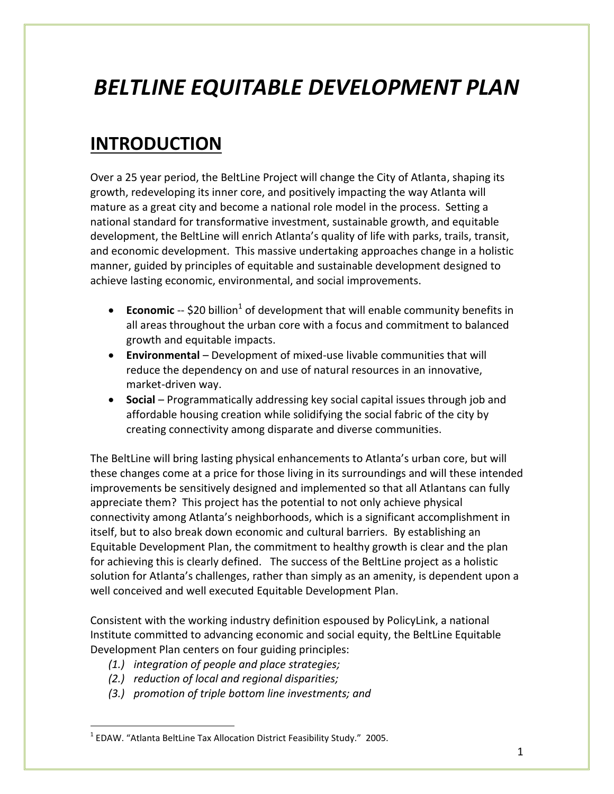# *BELTLINE EQUITABLE DEVELOPMENT PLAN*

## **INTRODUCTION**

Over a 25 year period, the BeltLine Project will change the City of Atlanta, shaping its growth, redeveloping its inner core, and positively impacting the way Atlanta will mature as a great city and become a national role model in the process. Setting a national standard for transformative investment, sustainable growth, and equitable development, the BeltLine will enrich Atlanta's quality of life with parks, trails, transit, and economic development. This massive undertaking approaches change in a holistic manner, guided by principles of equitable and sustainable development designed to achieve lasting economic, environmental, and social improvements.

- **Economic** -- \$20 billion<sup>1</sup> of development that will enable community benefits in all areas throughout the urban core with a focus and commitment to balanced growth and equitable impacts.
- **Environmental** Development of mixed-use livable communities that will reduce the dependency on and use of natural resources in an innovative, market-driven way.
- **Social**  Programmatically addressing key social capital issues through job and affordable housing creation while solidifying the social fabric of the city by creating connectivity among disparate and diverse communities.

The BeltLine will bring lasting physical enhancements to Atlanta's urban core, but will these changes come at a price for those living in its surroundings and will these intended improvements be sensitively designed and implemented so that all Atlantans can fully appreciate them? This project has the potential to not only achieve physical connectivity among Atlanta's neighborhoods, which is a significant accomplishment in itself, but to also break down economic and cultural barriers. By establishing an Equitable Development Plan, the commitment to healthy growth is clear and the plan for achieving this is clearly defined. The success of the BeltLine project as a holistic solution for Atlanta's challenges, rather than simply as an amenity, is dependent upon a well conceived and well executed Equitable Development Plan.

Consistent with the working industry definition espoused by PolicyLink, a national Institute committed to advancing economic and social equity, the BeltLine Equitable Development Plan centers on four guiding principles:

- *(1.) integration of people and place strategies;*
- *(2.) reduction of local and regional disparities;*

 $\overline{a}$ 

*(3.) promotion of triple bottom line investments; and*

 $<sup>1</sup>$  EDAW. "Atlanta BeltLine Tax Allocation District Feasibility Study." 2005.</sup>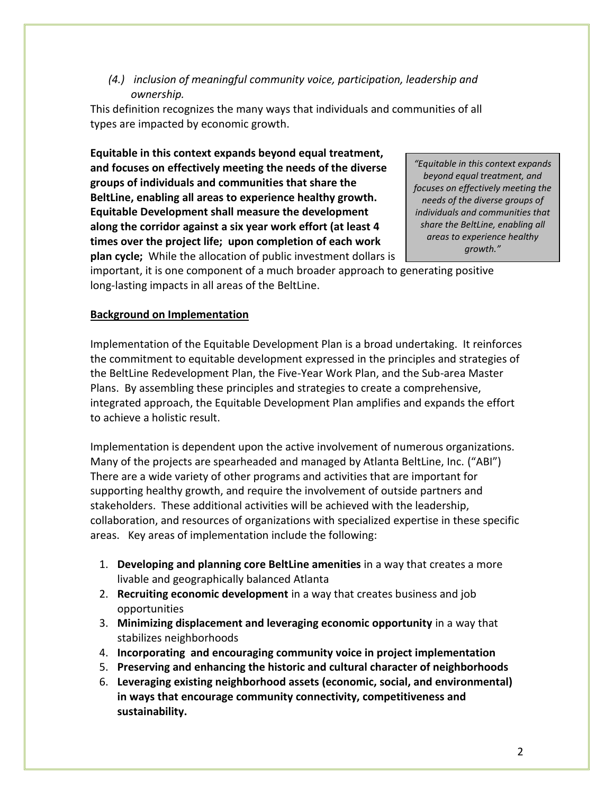*(4.) inclusion of meaningful community voice, participation, leadership and ownership.*

This definition recognizes the many ways that individuals and communities of all types are impacted by economic growth.

**Equitable in this context expands beyond equal treatment, and focuses on effectively meeting the needs of the diverse groups of individuals and communities that share the BeltLine, enabling all areas to experience healthy growth. Equitable Development shall measure the development along the corridor against a six year work effort (at least 4 times over the project life; upon completion of each work plan cycle;** While the allocation of public investment dollars is

*"Equitable in this context expands beyond equal treatment, and focuses on effectively meeting the needs of the diverse groups of individuals and communities that share the BeltLine, enabling all areas to experience healthy growth."*

important, it is one component of a much broader approach to generating positive long-lasting impacts in all areas of the BeltLine.

#### **Background on Implementation**

Implementation of the Equitable Development Plan is a broad undertaking. It reinforces the commitment to equitable development expressed in the principles and strategies of the BeltLine Redevelopment Plan, the Five-Year Work Plan, and the Sub-area Master Plans. By assembling these principles and strategies to create a comprehensive, integrated approach, the Equitable Development Plan amplifies and expands the effort to achieve a holistic result.

Implementation is dependent upon the active involvement of numerous organizations. Many of the projects are spearheaded and managed by Atlanta BeltLine, Inc. ("ABI") There are a wide variety of other programs and activities that are important for supporting healthy growth, and require the involvement of outside partners and stakeholders. These additional activities will be achieved with the leadership, collaboration, and resources of organizations with specialized expertise in these specific areas. Key areas of implementation include the following:

- 1. **Developing and planning core BeltLine amenities** in a way that creates a more livable and geographically balanced Atlanta
- 2. **Recruiting economic development** in a way that creates business and job opportunities
- 3. **Minimizing displacement and leveraging economic opportunity** in a way that stabilizes neighborhoods
- 4. **Incorporating and encouraging community voice in project implementation**
- 5. **Preserving and enhancing the historic and cultural character of neighborhoods**
- 6. **Leveraging existing neighborhood assets (economic, social, and environmental) in ways that encourage community connectivity, competitiveness and sustainability.**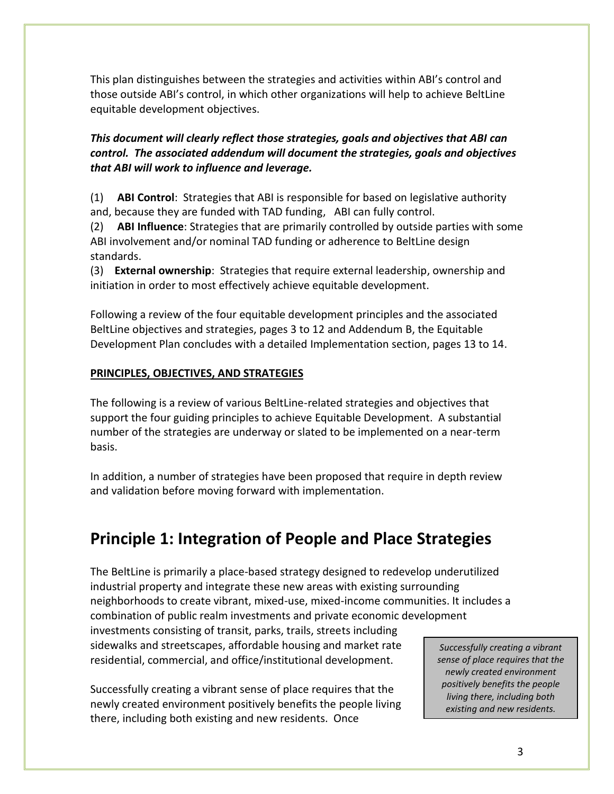This plan distinguishes between the strategies and activities within ABI's control and those outside ABI's control, in which other organizations will help to achieve BeltLine equitable development objectives.

#### *This document will clearly reflect those strategies, goals and objectives that ABI can control. The associated addendum will document the strategies, goals and objectives that ABI will work to influence and leverage.*

(1) **ABI Control**: Strategies that ABI is responsible for based on legislative authority and, because they are funded with TAD funding, ABI can fully control.

(2) **ABI Influence**: Strategies that are primarily controlled by outside parties with some ABI involvement and/or nominal TAD funding or adherence to BeltLine design standards.

(3) **External ownership**: Strategies that require external leadership, ownership and initiation in order to most effectively achieve equitable development.

Following a review of the four equitable development principles and the associated BeltLine objectives and strategies, pages 3 to 12 and Addendum B, the Equitable Development Plan concludes with a detailed Implementation section, pages 13 to 14.

#### **PRINCIPLES, OBJECTIVES, AND STRATEGIES**

The following is a review of various BeltLine-related strategies and objectives that support the four guiding principles to achieve Equitable Development. A substantial number of the strategies are underway or slated to be implemented on a near-term basis.

In addition, a number of strategies have been proposed that require in depth review and validation before moving forward with implementation.

### **Principle 1: Integration of People and Place Strategies**

The BeltLine is primarily a place-based strategy designed to redevelop underutilized industrial property and integrate these new areas with existing surrounding neighborhoods to create vibrant, mixed-use, mixed-income communities. It includes a combination of public realm investments and private economic development

investments consisting of transit, parks, trails, streets including sidewalks and streetscapes, affordable housing and market rate residential, commercial, and office/institutional development.

Successfully creating a vibrant sense of place requires that the newly created environment positively benefits the people living there, including both existing and new residents. Once

*Successfully creating a vibrant sense of place requires that the newly created environment positively benefits the people living there, including both existing and new residents.*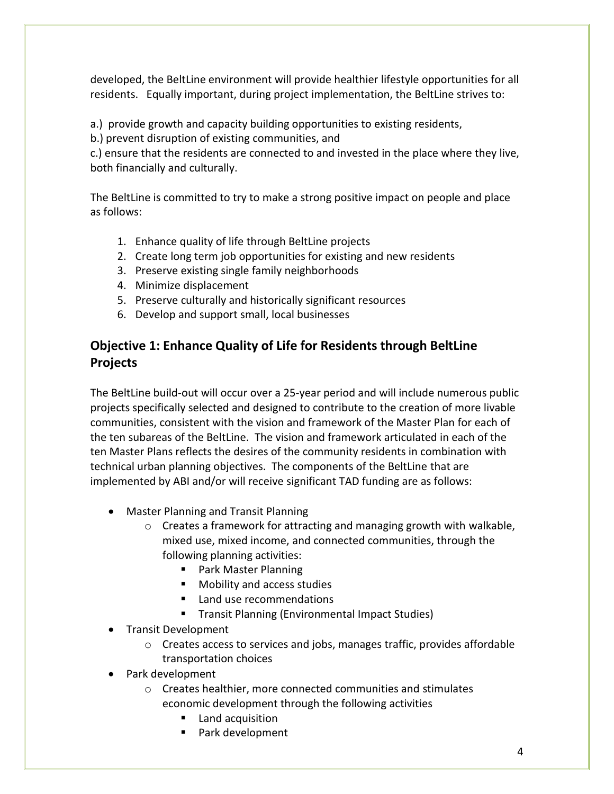developed, the BeltLine environment will provide healthier lifestyle opportunities for all residents. Equally important, during project implementation, the BeltLine strives to:

a.) provide growth and capacity building opportunities to existing residents,

b.) prevent disruption of existing communities, and

c.) ensure that the residents are connected to and invested in the place where they live, both financially and culturally.

The BeltLine is committed to try to make a strong positive impact on people and place as follows:

- 1. Enhance quality of life through BeltLine projects
- 2. Create long term job opportunities for existing and new residents
- 3. Preserve existing single family neighborhoods
- 4. Minimize displacement
- 5. Preserve culturally and historically significant resources
- 6. Develop and support small, local businesses

### **Objective 1: Enhance Quality of Life for Residents through BeltLine Projects**

The BeltLine build-out will occur over a 25-year period and will include numerous public projects specifically selected and designed to contribute to the creation of more livable communities, consistent with the vision and framework of the Master Plan for each of the ten subareas of the BeltLine. The vision and framework articulated in each of the ten Master Plans reflects the desires of the community residents in combination with technical urban planning objectives. The components of the BeltLine that are implemented by ABI and/or will receive significant TAD funding are as follows:

- Master Planning and Transit Planning
	- $\circ$  Creates a framework for attracting and managing growth with walkable, mixed use, mixed income, and connected communities, through the following planning activities:
		- Park Master Planning
		- **Mobility and access studies**
		- **Land use recommendations**
		- **Transit Planning (Environmental Impact Studies)**
- Transit Development
	- o Creates access to services and jobs, manages traffic, provides affordable transportation choices
- Park development
	- o Creates healthier, more connected communities and stimulates economic development through the following activities
		- **Land acquisition**
		- **Park development**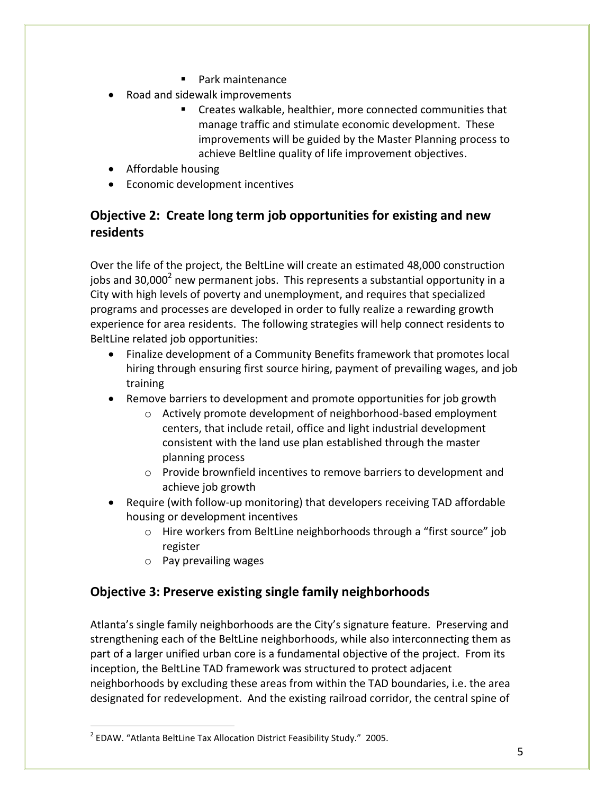- **Park maintenance**
- Road and sidewalk improvements
	- Creates walkable, healthier, more connected communities that manage traffic and stimulate economic development. These improvements will be guided by the Master Planning process to achieve Beltline quality of life improvement objectives.
- Affordable housing
- Economic development incentives

#### **Objective 2: Create long term job opportunities for existing and new residents**

Over the life of the project, the BeltLine will create an estimated 48,000 construction jobs and 30,000<sup>2</sup> new permanent jobs. This represents a substantial opportunity in a City with high levels of poverty and unemployment, and requires that specialized programs and processes are developed in order to fully realize a rewarding growth experience for area residents. The following strategies will help connect residents to BeltLine related job opportunities:

- Finalize development of a Community Benefits framework that promotes local hiring through ensuring first source hiring, payment of prevailing wages, and job training
- Remove barriers to development and promote opportunities for job growth
	- o Actively promote development of neighborhood-based employment centers, that include retail, office and light industrial development consistent with the land use plan established through the master planning process
	- o Provide brownfield incentives to remove barriers to development and achieve job growth
- Require (with follow-up monitoring) that developers receiving TAD affordable housing or development incentives
	- o Hire workers from BeltLine neighborhoods through a "first source" job register
	- o Pay prevailing wages

 $\overline{a}$ 

#### **Objective 3: Preserve existing single family neighborhoods**

Atlanta's single family neighborhoods are the City's signature feature. Preserving and strengthening each of the BeltLine neighborhoods, while also interconnecting them as part of a larger unified urban core is a fundamental objective of the project. From its inception, the BeltLine TAD framework was structured to protect adjacent neighborhoods by excluding these areas from within the TAD boundaries, i.e. the area designated for redevelopment. And the existing railroad corridor, the central spine of

 $^2$  EDAW. "Atlanta BeltLine Tax Allocation District Feasibility Study." 2005.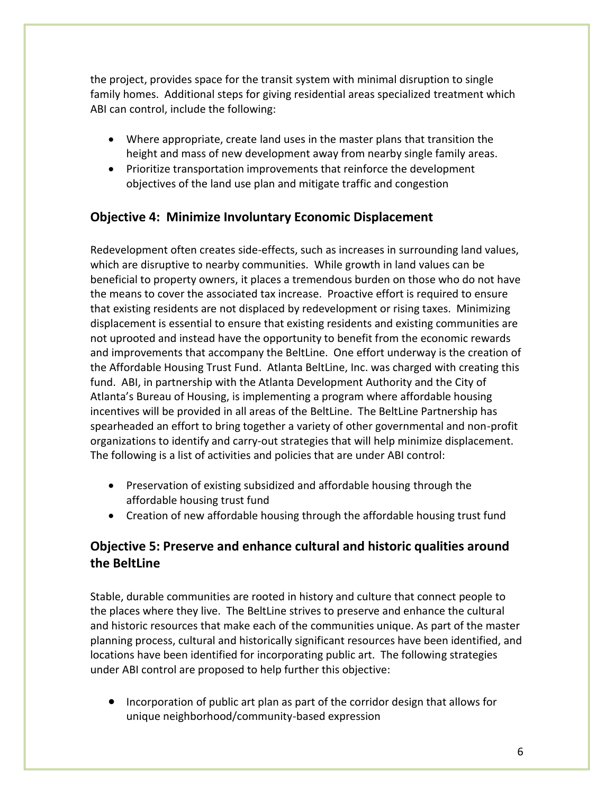the project, provides space for the transit system with minimal disruption to single family homes. Additional steps for giving residential areas specialized treatment which ABI can control, include the following:

- Where appropriate, create land uses in the master plans that transition the height and mass of new development away from nearby single family areas.
- Prioritize transportation improvements that reinforce the development objectives of the land use plan and mitigate traffic and congestion

#### **Objective 4: Minimize Involuntary Economic Displacement**

Redevelopment often creates side-effects, such as increases in surrounding land values, which are disruptive to nearby communities. While growth in land values can be beneficial to property owners, it places a tremendous burden on those who do not have the means to cover the associated tax increase. Proactive effort is required to ensure that existing residents are not displaced by redevelopment or rising taxes. Minimizing displacement is essential to ensure that existing residents and existing communities are not uprooted and instead have the opportunity to benefit from the economic rewards and improvements that accompany the BeltLine. One effort underway is the creation of the Affordable Housing Trust Fund. Atlanta BeltLine, Inc. was charged with creating this fund. ABI, in partnership with the Atlanta Development Authority and the City of Atlanta's Bureau of Housing, is implementing a program where affordable housing incentives will be provided in all areas of the BeltLine. The BeltLine Partnership has spearheaded an effort to bring together a variety of other governmental and non-profit organizations to identify and carry-out strategies that will help minimize displacement. The following is a list of activities and policies that are under ABI control:

- Preservation of existing subsidized and affordable housing through the affordable housing trust fund
- Creation of new affordable housing through the affordable housing trust fund

#### **Objective 5: Preserve and enhance cultural and historic qualities around the BeltLine**

Stable, durable communities are rooted in history and culture that connect people to the places where they live. The BeltLine strives to preserve and enhance the cultural and historic resources that make each of the communities unique. As part of the master planning process, cultural and historically significant resources have been identified, and locations have been identified for incorporating public art. The following strategies under ABI control are proposed to help further this objective:

• Incorporation of public art plan as part of the corridor design that allows for unique neighborhood/community-based expression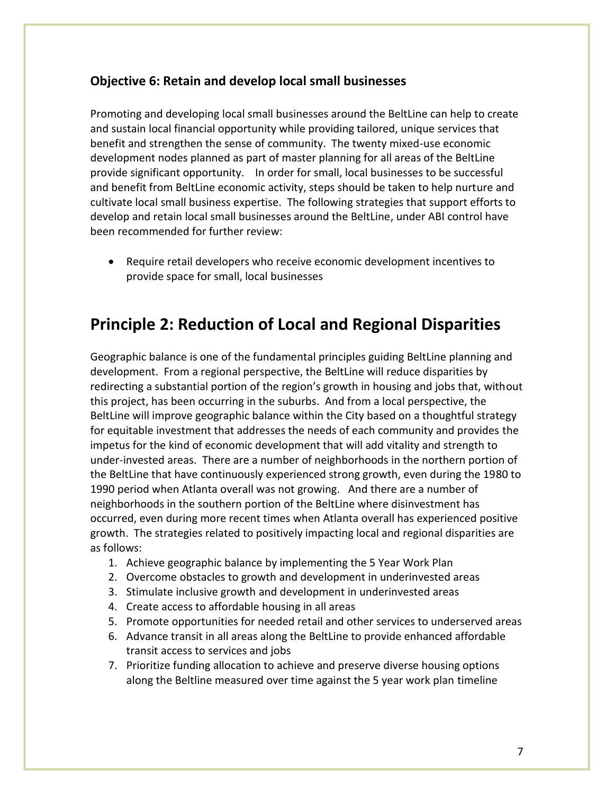#### **Objective 6: Retain and develop local small businesses**

Promoting and developing local small businesses around the BeltLine can help to create and sustain local financial opportunity while providing tailored, unique services that benefit and strengthen the sense of community. The twenty mixed-use economic development nodes planned as part of master planning for all areas of the BeltLine provide significant opportunity. In order for small, local businesses to be successful and benefit from BeltLine economic activity, steps should be taken to help nurture and cultivate local small business expertise. The following strategies that support efforts to develop and retain local small businesses around the BeltLine, under ABI control have been recommended for further review:

 Require retail developers who receive economic development incentives to provide space for small, local businesses

### **Principle 2: Reduction of Local and Regional Disparities**

Geographic balance is one of the fundamental principles guiding BeltLine planning and development. From a regional perspective, the BeltLine will reduce disparities by redirecting a substantial portion of the region's growth in housing and jobs that, without this project, has been occurring in the suburbs. And from a local perspective, the BeltLine will improve geographic balance within the City based on a thoughtful strategy for equitable investment that addresses the needs of each community and provides the impetus for the kind of economic development that will add vitality and strength to under-invested areas. There are a number of neighborhoods in the northern portion of the BeltLine that have continuously experienced strong growth, even during the 1980 to 1990 period when Atlanta overall was not growing. And there are a number of neighborhoods in the southern portion of the BeltLine where disinvestment has occurred, even during more recent times when Atlanta overall has experienced positive growth. The strategies related to positively impacting local and regional disparities are as follows:

- 1. Achieve geographic balance by implementing the 5 Year Work Plan
- 2. Overcome obstacles to growth and development in underinvested areas
- 3. Stimulate inclusive growth and development in underinvested areas
- 4. Create access to affordable housing in all areas
- 5. Promote opportunities for needed retail and other services to underserved areas
- 6. Advance transit in all areas along the BeltLine to provide enhanced affordable transit access to services and jobs
- 7. Prioritize funding allocation to achieve and preserve diverse housing options along the Beltline measured over time against the 5 year work plan timeline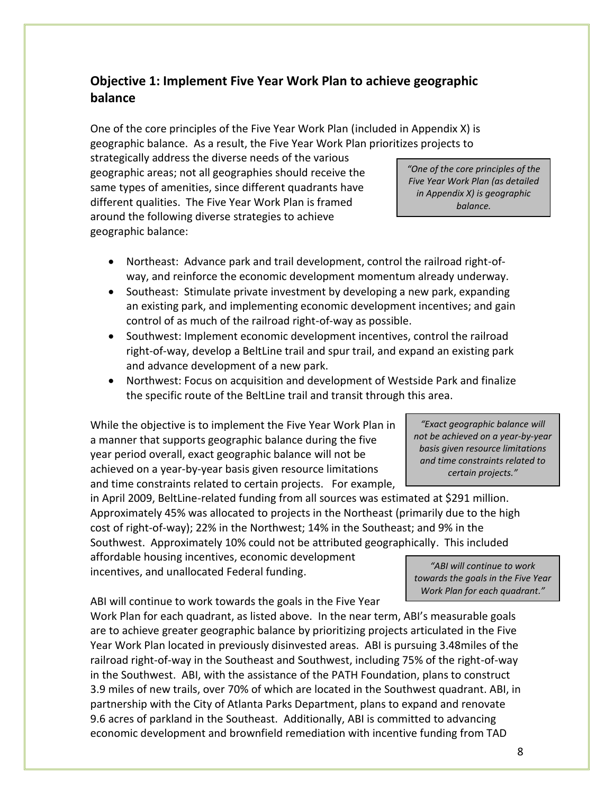#### **Objective 1: Implement Five Year Work Plan to achieve geographic balance**

One of the core principles of the Five Year Work Plan (included in Appendix X) is geographic balance. As a result, the Five Year Work Plan prioritizes projects to

strategically address the diverse needs of the various geographic areas; not all geographies should receive the same types of amenities, since different quadrants have different qualities. The Five Year Work Plan is framed around the following diverse strategies to achieve geographic balance:

*"One of the core principles of the Five Year Work Plan (as detailed in Appendix X) is geographic balance.* 

- Northeast: Advance park and trail development, control the railroad right-ofway, and reinforce the economic development momentum already underway.
- Southeast: Stimulate private investment by developing a new park, expanding an existing park, and implementing economic development incentives; and gain control of as much of the railroad right-of-way as possible.
- Southwest: Implement economic development incentives, control the railroad right-of-way, develop a BeltLine trail and spur trail, and expand an existing park and advance development of a new park.
- Northwest: Focus on acquisition and development of Westside Park and finalize the specific route of the BeltLine trail and transit through this area.

While the objective is to implement the Five Year Work Plan in a manner that supports geographic balance during the five year period overall, exact geographic balance will not be achieved on a year-by-year basis given resource limitations and time constraints related to certain projects. For example,

in April 2009, BeltLine-related funding from all sources was estimated at \$291 million. Approximately 45% was allocated to projects in the Northeast (primarily due to the high cost of right-of-way); 22% in the Northwest; 14% in the Southeast; and 9% in the Southwest. Approximately 10% could not be attributed geographically. This included

affordable housing incentives, economic development incentives, and unallocated Federal funding.

ABI will continue to work towards the goals in the Five Year

Work Plan for each quadrant, as listed above. In the near term, ABI's measurable goals are to achieve greater geographic balance by prioritizing projects articulated in the Five Year Work Plan located in previously disinvested areas. ABI is pursuing 3.48miles of the railroad right-of-way in the Southeast and Southwest, including 75% of the right-of-way in the Southwest. ABI, with the assistance of the PATH Foundation, plans to construct 3.9 miles of new trails, over 70% of which are located in the Southwest quadrant. ABI, in partnership with the City of Atlanta Parks Department, plans to expand and renovate 9.6 acres of parkland in the Southeast. Additionally, ABI is committed to advancing economic development and brownfield remediation with incentive funding from TAD

*"Exact geographic balance will not be achieved on a year-by-year basis given resource limitations and time constraints related to certain projects."*

*"ABI will continue to work towards the goals in the Five Year Work Plan for each quadrant."*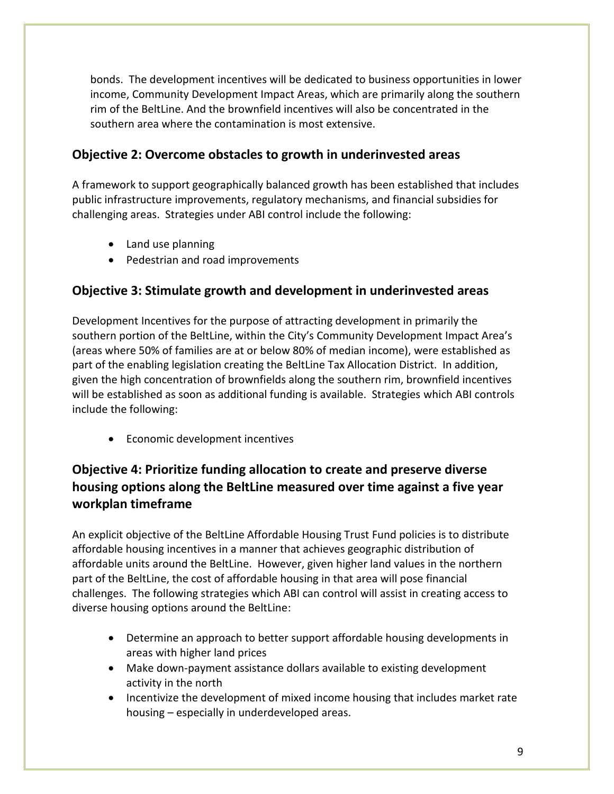bonds. The development incentives will be dedicated to business opportunities in lower income, Community Development Impact Areas, which are primarily along the southern rim of the BeltLine. And the brownfield incentives will also be concentrated in the southern area where the contamination is most extensive.

#### **Objective 2: Overcome obstacles to growth in underinvested areas**

A framework to support geographically balanced growth has been established that includes public infrastructure improvements, regulatory mechanisms, and financial subsidies for challenging areas. Strategies under ABI control include the following:

- Land use planning
- Pedestrian and road improvements

#### **Objective 3: Stimulate growth and development in underinvested areas**

Development Incentives for the purpose of attracting development in primarily the southern portion of the BeltLine, within the City's Community Development Impact Area's (areas where 50% of families are at or below 80% of median income), were established as part of the enabling legislation creating the BeltLine Tax Allocation District. In addition, given the high concentration of brownfields along the southern rim, brownfield incentives will be established as soon as additional funding is available. Strategies which ABI controls include the following:

Economic development incentives

#### **Objective 4: Prioritize funding allocation to create and preserve diverse housing options along the BeltLine measured over time against a five year workplan timeframe**

An explicit objective of the BeltLine Affordable Housing Trust Fund policies is to distribute affordable housing incentives in a manner that achieves geographic distribution of affordable units around the BeltLine. However, given higher land values in the northern part of the BeltLine, the cost of affordable housing in that area will pose financial challenges. The following strategies which ABI can control will assist in creating access to diverse housing options around the BeltLine:

- Determine an approach to better support affordable housing developments in areas with higher land prices
- Make down-payment assistance dollars available to existing development activity in the north
- Incentivize the development of mixed income housing that includes market rate housing – especially in underdeveloped areas.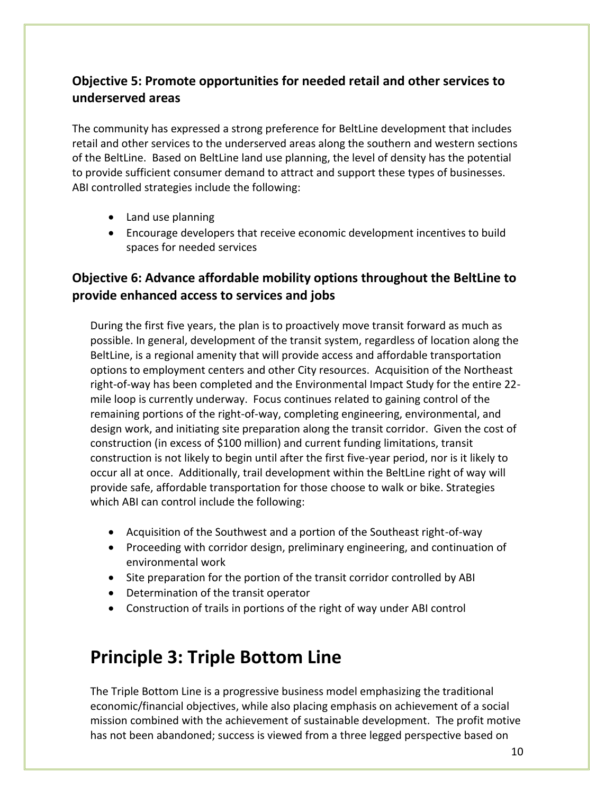#### **Objective 5: Promote opportunities for needed retail and other services to underserved areas**

The community has expressed a strong preference for BeltLine development that includes retail and other services to the underserved areas along the southern and western sections of the BeltLine. Based on BeltLine land use planning, the level of density has the potential to provide sufficient consumer demand to attract and support these types of businesses. ABI controlled strategies include the following:

- Land use planning
- Encourage developers that receive economic development incentives to build spaces for needed services

#### **Objective 6: Advance affordable mobility options throughout the BeltLine to provide enhanced access to services and jobs**

During the first five years, the plan is to proactively move transit forward as much as possible. In general, development of the transit system, regardless of location along the BeltLine, is a regional amenity that will provide access and affordable transportation options to employment centers and other City resources. Acquisition of the Northeast right-of-way has been completed and the Environmental Impact Study for the entire 22 mile loop is currently underway. Focus continues related to gaining control of the remaining portions of the right-of-way, completing engineering, environmental, and design work, and initiating site preparation along the transit corridor. Given the cost of construction (in excess of \$100 million) and current funding limitations, transit construction is not likely to begin until after the first five-year period, nor is it likely to occur all at once. Additionally, trail development within the BeltLine right of way will provide safe, affordable transportation for those choose to walk or bike. Strategies which ABI can control include the following:

- Acquisition of the Southwest and a portion of the Southeast right-of-way
- Proceeding with corridor design, preliminary engineering, and continuation of environmental work
- Site preparation for the portion of the transit corridor controlled by ABI
- Determination of the transit operator
- Construction of trails in portions of the right of way under ABI control

## **Principle 3: Triple Bottom Line**

The Triple Bottom Line is a progressive business model emphasizing the traditional economic/financial objectives, while also placing emphasis on achievement of a social mission combined with the achievement of sustainable development. The profit motive has not been abandoned; success is viewed from a three legged perspective based on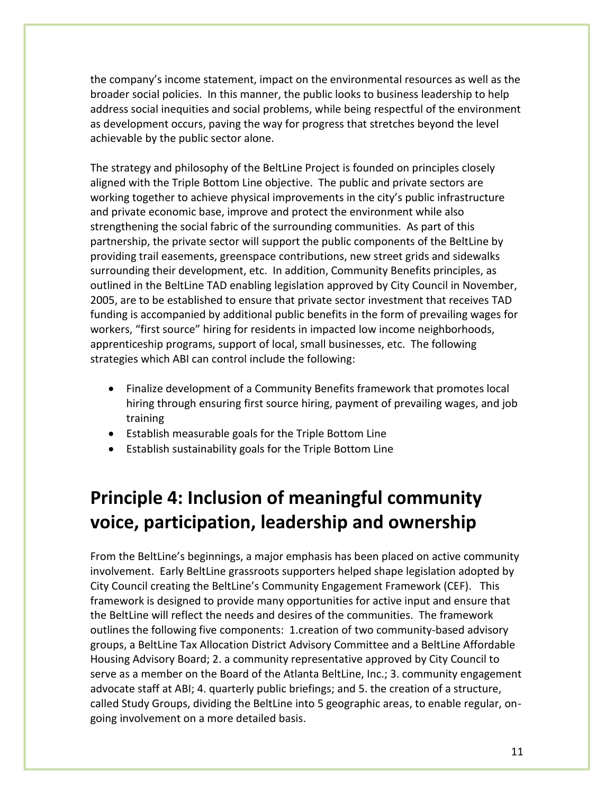the company's income statement, impact on the environmental resources as well as the broader social policies. In this manner, the public looks to business leadership to help address social inequities and social problems, while being respectful of the environment as development occurs, paving the way for progress that stretches beyond the level achievable by the public sector alone.

The strategy and philosophy of the BeltLine Project is founded on principles closely aligned with the Triple Bottom Line objective. The public and private sectors are working together to achieve physical improvements in the city's public infrastructure and private economic base, improve and protect the environment while also strengthening the social fabric of the surrounding communities. As part of this partnership, the private sector will support the public components of the BeltLine by providing trail easements, greenspace contributions, new street grids and sidewalks surrounding their development, etc. In addition, Community Benefits principles, as outlined in the BeltLine TAD enabling legislation approved by City Council in November, 2005, are to be established to ensure that private sector investment that receives TAD funding is accompanied by additional public benefits in the form of prevailing wages for workers, "first source" hiring for residents in impacted low income neighborhoods, apprenticeship programs, support of local, small businesses, etc. The following strategies which ABI can control include the following:

- Finalize development of a Community Benefits framework that promotes local hiring through ensuring first source hiring, payment of prevailing wages, and job training
- Establish measurable goals for the Triple Bottom Line
- Establish sustainability goals for the Triple Bottom Line

# **Principle 4: Inclusion of meaningful community voice, participation, leadership and ownership**

From the BeltLine's beginnings, a major emphasis has been placed on active community involvement. Early BeltLine grassroots supporters helped shape legislation adopted by City Council creating the BeltLine's Community Engagement Framework (CEF). This framework is designed to provide many opportunities for active input and ensure that the BeltLine will reflect the needs and desires of the communities. The framework outlines the following five components: 1.creation of two community-based advisory groups, a BeltLine Tax Allocation District Advisory Committee and a BeltLine Affordable Housing Advisory Board; 2. a community representative approved by City Council to serve as a member on the Board of the Atlanta BeltLine, Inc.; 3. community engagement advocate staff at ABI; 4. quarterly public briefings; and 5. the creation of a structure, called Study Groups, dividing the BeltLine into 5 geographic areas, to enable regular, ongoing involvement on a more detailed basis.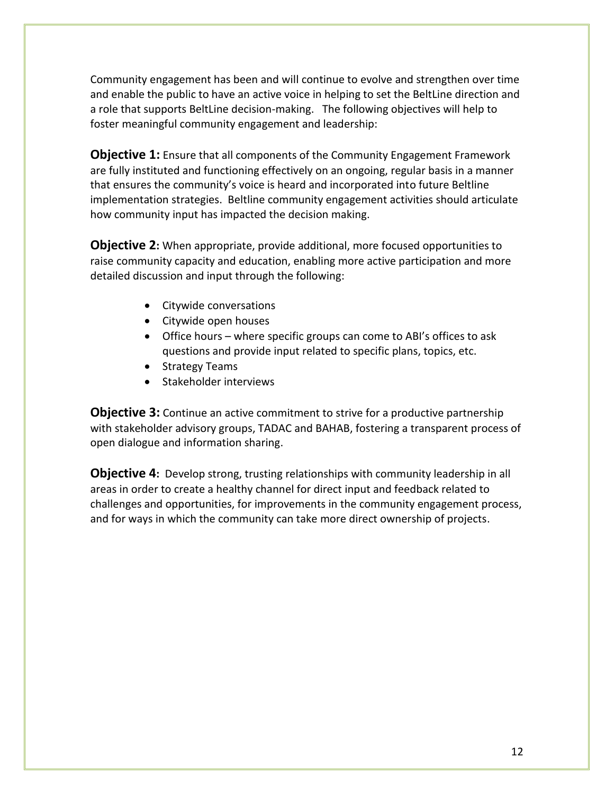Community engagement has been and will continue to evolve and strengthen over time and enable the public to have an active voice in helping to set the BeltLine direction and a role that supports BeltLine decision-making. The following objectives will help to foster meaningful community engagement and leadership:

**Objective 1:** Ensure that all components of the Community Engagement Framework are fully instituted and functioning effectively on an ongoing, regular basis in a manner that ensures the community's voice is heard and incorporated into future Beltline implementation strategies. Beltline community engagement activities should articulate how community input has impacted the decision making.

**Objective 2:** When appropriate, provide additional, more focused opportunities to raise community capacity and education, enabling more active participation and more detailed discussion and input through the following:

- Citywide conversations
- Citywide open houses
- Office hours where specific groups can come to ABI's offices to ask questions and provide input related to specific plans, topics, etc.
- Strategy Teams
- Stakeholder interviews

**Objective 3:** Continue an active commitment to strive for a productive partnership with stakeholder advisory groups, TADAC and BAHAB, fostering a transparent process of open dialogue and information sharing.

**Objective 4:** Develop strong, trusting relationships with community leadership in all areas in order to create a healthy channel for direct input and feedback related to challenges and opportunities, for improvements in the community engagement process, and for ways in which the community can take more direct ownership of projects.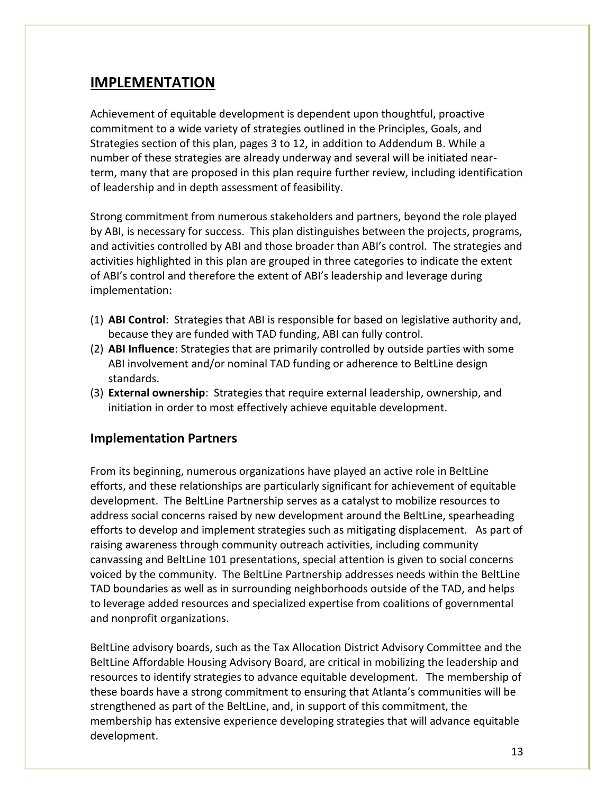#### **IMPLEMENTATION**

Achievement of equitable development is dependent upon thoughtful, proactive commitment to a wide variety of strategies outlined in the Principles, Goals, and Strategies section of this plan, pages 3 to 12, in addition to Addendum B. While a number of these strategies are already underway and several will be initiated nearterm, many that are proposed in this plan require further review, including identification of leadership and in depth assessment of feasibility.

Strong commitment from numerous stakeholders and partners, beyond the role played by ABI, is necessary for success. This plan distinguishes between the projects, programs, and activities controlled by ABI and those broader than ABI's control. The strategies and activities highlighted in this plan are grouped in three categories to indicate the extent of ABI's control and therefore the extent of ABI's leadership and leverage during implementation:

- (1) **ABI Control**: Strategies that ABI is responsible for based on legislative authority and, because they are funded with TAD funding, ABI can fully control.
- (2) **ABI Influence**: Strategies that are primarily controlled by outside parties with some ABI involvement and/or nominal TAD funding or adherence to BeltLine design standards.
- (3) **External ownership**: Strategies that require external leadership, ownership, and initiation in order to most effectively achieve equitable development.

#### **Implementation Partners**

From its beginning, numerous organizations have played an active role in BeltLine efforts, and these relationships are particularly significant for achievement of equitable development. The BeltLine Partnership serves as a catalyst to mobilize resources to address social concerns raised by new development around the BeltLine, spearheading efforts to develop and implement strategies such as mitigating displacement. As part of raising awareness through community outreach activities, including community canvassing and BeltLine 101 presentations, special attention is given to social concerns voiced by the community. The BeltLine Partnership addresses needs within the BeltLine TAD boundaries as well as in surrounding neighborhoods outside of the TAD, and helps to leverage added resources and specialized expertise from coalitions of governmental and nonprofit organizations.

BeltLine advisory boards, such as the Tax Allocation District Advisory Committee and the BeltLine Affordable Housing Advisory Board, are critical in mobilizing the leadership and resources to identify strategies to advance equitable development. The membership of these boards have a strong commitment to ensuring that Atlanta's communities will be strengthened as part of the BeltLine, and, in support of this commitment, the membership has extensive experience developing strategies that will advance equitable development.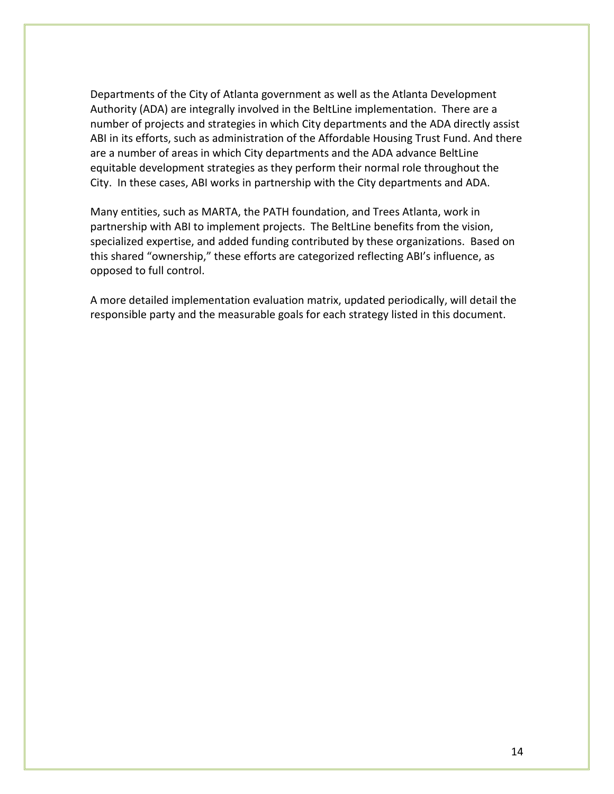Departments of the City of Atlanta government as well as the Atlanta Development Authority (ADA) are integrally involved in the BeltLine implementation. There are a number of projects and strategies in which City departments and the ADA directly assist ABI in its efforts, such as administration of the Affordable Housing Trust Fund. And there are a number of areas in which City departments and the ADA advance BeltLine equitable development strategies as they perform their normal role throughout the City. In these cases, ABI works in partnership with the City departments and ADA.

Many entities, such as MARTA, the PATH foundation, and Trees Atlanta, work in partnership with ABI to implement projects. The BeltLine benefits from the vision, specialized expertise, and added funding contributed by these organizations. Based on this shared "ownership," these efforts are categorized reflecting ABI's influence, as opposed to full control.

A more detailed implementation evaluation matrix, updated periodically, will detail the responsible party and the measurable goals for each strategy listed in this document.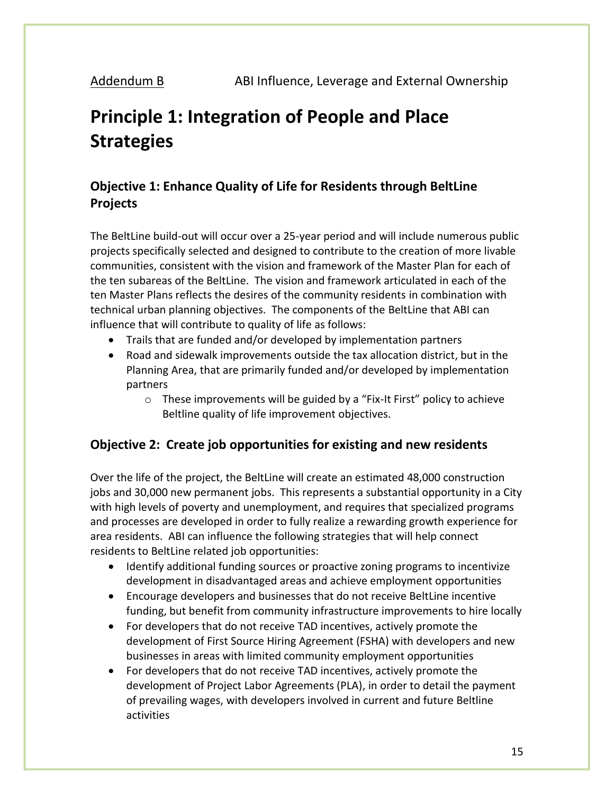# **Principle 1: Integration of People and Place Strategies**

### **Objective 1: Enhance Quality of Life for Residents through BeltLine Projects**

The BeltLine build-out will occur over a 25-year period and will include numerous public projects specifically selected and designed to contribute to the creation of more livable communities, consistent with the vision and framework of the Master Plan for each of the ten subareas of the BeltLine. The vision and framework articulated in each of the ten Master Plans reflects the desires of the community residents in combination with technical urban planning objectives. The components of the BeltLine that ABI can influence that will contribute to quality of life as follows:

- Trails that are funded and/or developed by implementation partners
- Road and sidewalk improvements outside the tax allocation district, but in the Planning Area, that are primarily funded and/or developed by implementation partners
	- o These improvements will be guided by a "Fix-It First" policy to achieve Beltline quality of life improvement objectives.

#### **Objective 2: Create job opportunities for existing and new residents**

Over the life of the project, the BeltLine will create an estimated 48,000 construction jobs and 30,000 new permanent jobs. This represents a substantial opportunity in a City with high levels of poverty and unemployment, and requires that specialized programs and processes are developed in order to fully realize a rewarding growth experience for area residents. ABI can influence the following strategies that will help connect residents to BeltLine related job opportunities:

- Identify additional funding sources or proactive zoning programs to incentivize development in disadvantaged areas and achieve employment opportunities
- Encourage developers and businesses that do not receive BeltLine incentive funding, but benefit from community infrastructure improvements to hire locally
- For developers that do not receive TAD incentives, actively promote the development of First Source Hiring Agreement (FSHA) with developers and new businesses in areas with limited community employment opportunities
- For developers that do not receive TAD incentives, actively promote the development of Project Labor Agreements (PLA), in order to detail the payment of prevailing wages, with developers involved in current and future Beltline activities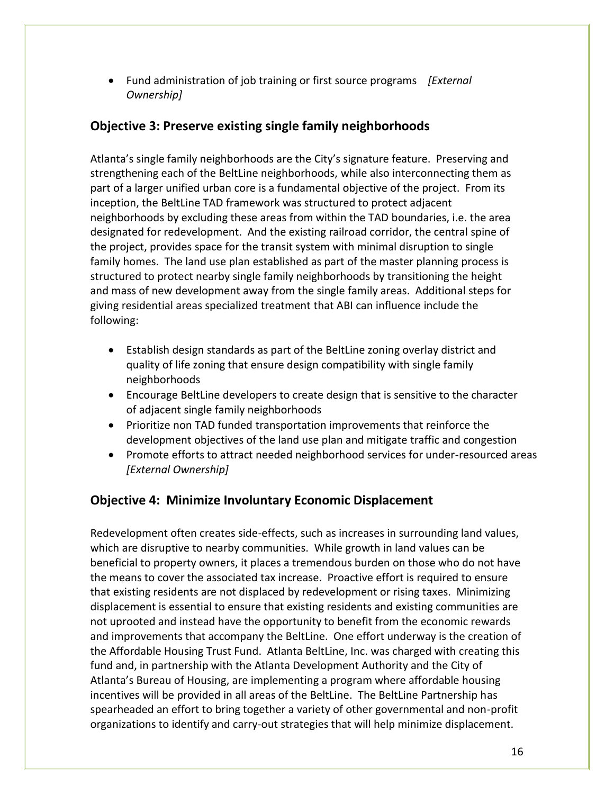Fund administration of job training or first source programs *[External Ownership]*

#### **Objective 3: Preserve existing single family neighborhoods**

Atlanta's single family neighborhoods are the City's signature feature. Preserving and strengthening each of the BeltLine neighborhoods, while also interconnecting them as part of a larger unified urban core is a fundamental objective of the project. From its inception, the BeltLine TAD framework was structured to protect adjacent neighborhoods by excluding these areas from within the TAD boundaries, i.e. the area designated for redevelopment. And the existing railroad corridor, the central spine of the project, provides space for the transit system with minimal disruption to single family homes. The land use plan established as part of the master planning process is structured to protect nearby single family neighborhoods by transitioning the height and mass of new development away from the single family areas. Additional steps for giving residential areas specialized treatment that ABI can influence include the following:

- Establish design standards as part of the BeltLine zoning overlay district and quality of life zoning that ensure design compatibility with single family neighborhoods
- Encourage BeltLine developers to create design that is sensitive to the character of adjacent single family neighborhoods
- Prioritize non TAD funded transportation improvements that reinforce the development objectives of the land use plan and mitigate traffic and congestion
- Promote efforts to attract needed neighborhood services for under-resourced areas *[External Ownership]*

#### **Objective 4: Minimize Involuntary Economic Displacement**

Redevelopment often creates side-effects, such as increases in surrounding land values, which are disruptive to nearby communities. While growth in land values can be beneficial to property owners, it places a tremendous burden on those who do not have the means to cover the associated tax increase. Proactive effort is required to ensure that existing residents are not displaced by redevelopment or rising taxes. Minimizing displacement is essential to ensure that existing residents and existing communities are not uprooted and instead have the opportunity to benefit from the economic rewards and improvements that accompany the BeltLine. One effort underway is the creation of the Affordable Housing Trust Fund. Atlanta BeltLine, Inc. was charged with creating this fund and, in partnership with the Atlanta Development Authority and the City of Atlanta's Bureau of Housing, are implementing a program where affordable housing incentives will be provided in all areas of the BeltLine. The BeltLine Partnership has spearheaded an effort to bring together a variety of other governmental and non-profit organizations to identify and carry-out strategies that will help minimize displacement.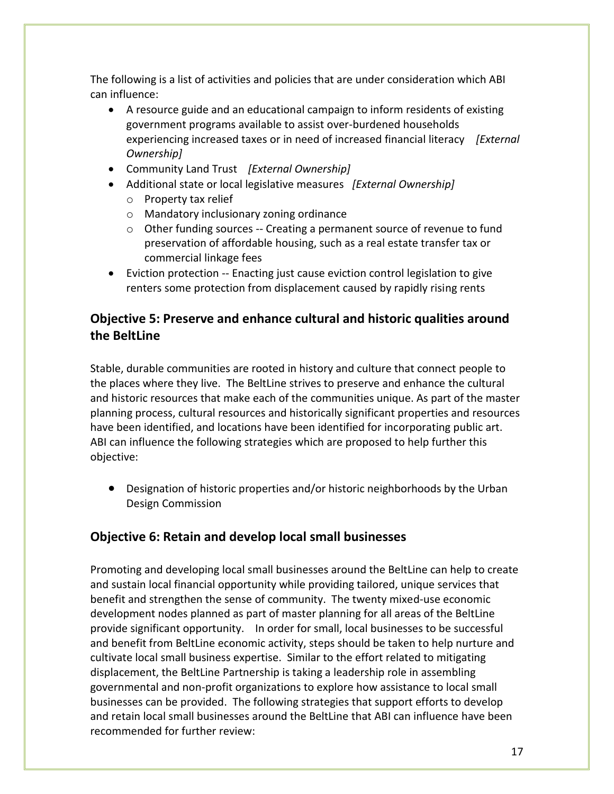The following is a list of activities and policies that are under consideration which ABI can influence:

- A resource guide and an educational campaign to inform residents of existing government programs available to assist over-burdened households experiencing increased taxes or in need of increased financial literacy *[External Ownership]*
- Community Land Trust *[External Ownership]*
- Additional state or local legislative measures *[External Ownership]*
	- o Property tax relief
	- o Mandatory inclusionary zoning ordinance
	- $\circ$  Other funding sources -- Creating a permanent source of revenue to fund preservation of affordable housing, such as a real estate transfer tax or commercial linkage fees
- Eviction protection -- Enacting just cause eviction control legislation to give renters some protection from displacement caused by rapidly rising rents

#### **Objective 5: Preserve and enhance cultural and historic qualities around the BeltLine**

Stable, durable communities are rooted in history and culture that connect people to the places where they live. The BeltLine strives to preserve and enhance the cultural and historic resources that make each of the communities unique. As part of the master planning process, cultural resources and historically significant properties and resources have been identified, and locations have been identified for incorporating public art. ABI can influence the following strategies which are proposed to help further this objective:

 Designation of historic properties and/or historic neighborhoods by the Urban Design Commission

#### **Objective 6: Retain and develop local small businesses**

Promoting and developing local small businesses around the BeltLine can help to create and sustain local financial opportunity while providing tailored, unique services that benefit and strengthen the sense of community. The twenty mixed-use economic development nodes planned as part of master planning for all areas of the BeltLine provide significant opportunity. In order for small, local businesses to be successful and benefit from BeltLine economic activity, steps should be taken to help nurture and cultivate local small business expertise. Similar to the effort related to mitigating displacement, the BeltLine Partnership is taking a leadership role in assembling governmental and non-profit organizations to explore how assistance to local small businesses can be provided. The following strategies that support efforts to develop and retain local small businesses around the BeltLine that ABI can influence have been recommended for further review: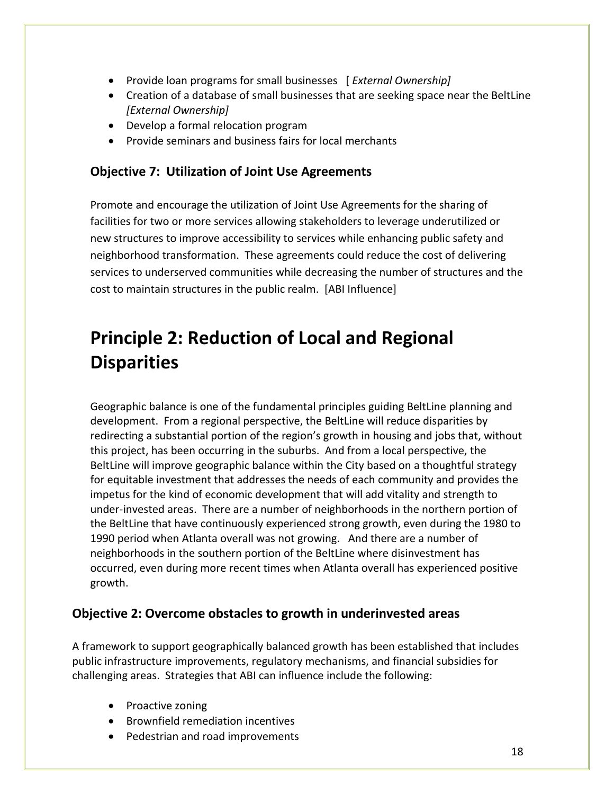- Provide loan programs for small businesses [ *External Ownership]*
- Creation of a database of small businesses that are seeking space near the BeltLine *[External Ownership]*
- Develop a formal relocation program
- Provide seminars and business fairs for local merchants

#### **Objective 7: Utilization of Joint Use Agreements**

Promote and encourage the utilization of Joint Use Agreements for the sharing of facilities for two or more services allowing stakeholders to leverage underutilized or new structures to improve accessibility to services while enhancing public safety and neighborhood transformation. These agreements could reduce the cost of delivering services to underserved communities while decreasing the number of structures and the cost to maintain structures in the public realm. [ABI Influence]

# **Principle 2: Reduction of Local and Regional Disparities**

Geographic balance is one of the fundamental principles guiding BeltLine planning and development. From a regional perspective, the BeltLine will reduce disparities by redirecting a substantial portion of the region's growth in housing and jobs that, without this project, has been occurring in the suburbs. And from a local perspective, the BeltLine will improve geographic balance within the City based on a thoughtful strategy for equitable investment that addresses the needs of each community and provides the impetus for the kind of economic development that will add vitality and strength to under-invested areas. There are a number of neighborhoods in the northern portion of the BeltLine that have continuously experienced strong growth, even during the 1980 to 1990 period when Atlanta overall was not growing. And there are a number of neighborhoods in the southern portion of the BeltLine where disinvestment has occurred, even during more recent times when Atlanta overall has experienced positive growth.

#### **Objective 2: Overcome obstacles to growth in underinvested areas**

A framework to support geographically balanced growth has been established that includes public infrastructure improvements, regulatory mechanisms, and financial subsidies for challenging areas. Strategies that ABI can influence include the following:

- Proactive zoning
- Brownfield remediation incentives
- Pedestrian and road improvements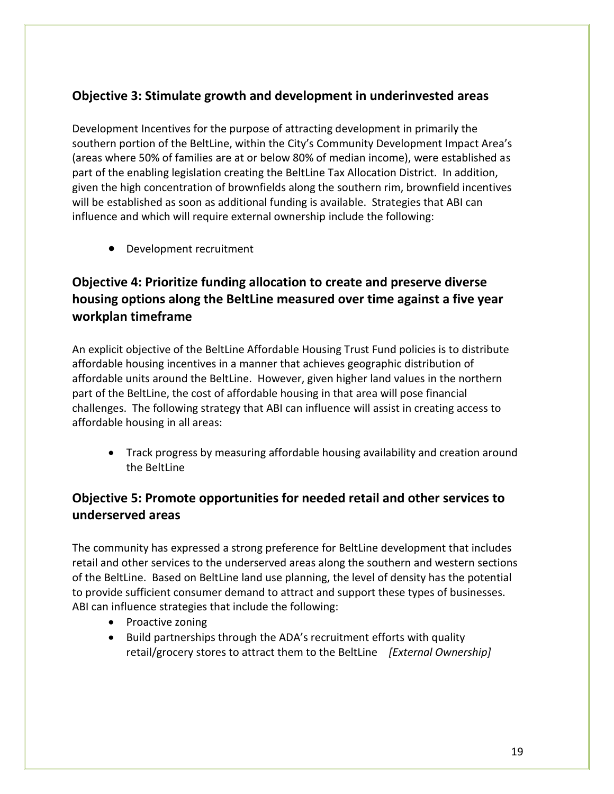#### **Objective 3: Stimulate growth and development in underinvested areas**

Development Incentives for the purpose of attracting development in primarily the southern portion of the BeltLine, within the City's Community Development Impact Area's (areas where 50% of families are at or below 80% of median income), were established as part of the enabling legislation creating the BeltLine Tax Allocation District. In addition, given the high concentration of brownfields along the southern rim, brownfield incentives will be established as soon as additional funding is available. Strategies that ABI can influence and which will require external ownership include the following:

Development recruitment

#### **Objective 4: Prioritize funding allocation to create and preserve diverse housing options along the BeltLine measured over time against a five year workplan timeframe**

An explicit objective of the BeltLine Affordable Housing Trust Fund policies is to distribute affordable housing incentives in a manner that achieves geographic distribution of affordable units around the BeltLine. However, given higher land values in the northern part of the BeltLine, the cost of affordable housing in that area will pose financial challenges. The following strategy that ABI can influence will assist in creating access to affordable housing in all areas:

 Track progress by measuring affordable housing availability and creation around the BeltLine

#### **Objective 5: Promote opportunities for needed retail and other services to underserved areas**

The community has expressed a strong preference for BeltLine development that includes retail and other services to the underserved areas along the southern and western sections of the BeltLine. Based on BeltLine land use planning, the level of density has the potential to provide sufficient consumer demand to attract and support these types of businesses. ABI can influence strategies that include the following:

- Proactive zoning
- Build partnerships through the ADA's recruitment efforts with quality retail/grocery stores to attract them to the BeltLine *[External Ownership]*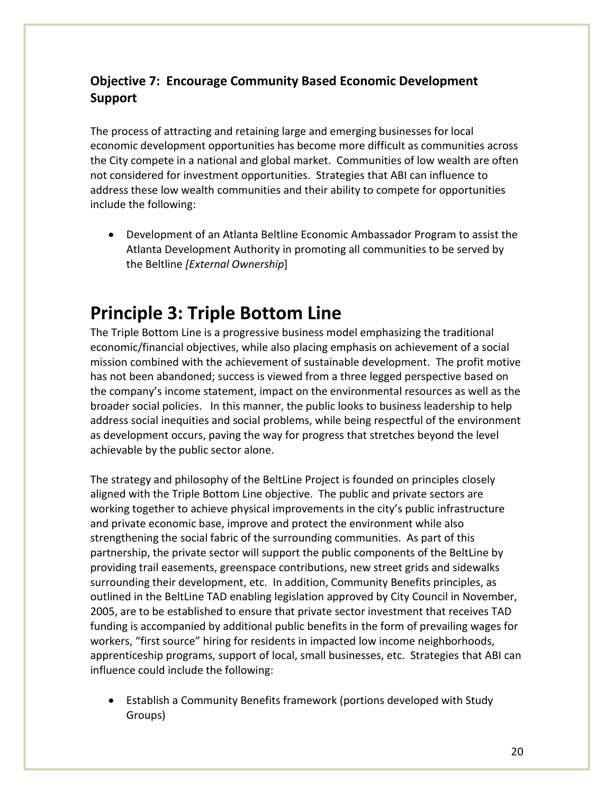### **Objective 7: Encourage Community Based Economic Development Support**

The process of attracting and retaining large and emerging businesses for local economic development opportunities has become more difficult as communities across the City compete in a national and global market. Communities of low wealth are often not considered for investment opportunities. Strategies that ABI can influence to address these low wealth communities and their ability to compete for opportunities include the following:

 Development of an Atlanta Beltline Economic Ambassador Program to assist the Atlanta Development Authority in promoting all communities to be served by the Beltline *[External Ownership*]

# **Principle 3: Triple Bottom Line**

The Triple Bottom Line is a progressive business model emphasizing the traditional economic/financial objectives, while also placing emphasis on achievement of a social mission combined with the achievement of sustainable development. The profit motive has not been abandoned; success is viewed from a three legged perspective based on the company's income statement, impact on the environmental resources as well as the broader social policies. In this manner, the public looks to business leadership to help address social inequities and social problems, while being respectful of the environment as development occurs, paving the way for progress that stretches beyond the level achievable by the public sector alone.

The strategy and philosophy of the BeltLine Project is founded on principles closely aligned with the Triple Bottom Line objective. The public and private sectors are working together to achieve physical improvements in the city's public infrastructure and private economic base, improve and protect the environment while also strengthening the social fabric of the surrounding communities. As part of this partnership, the private sector will support the public components of the BeltLine by providing trail easements, greenspace contributions, new street grids and sidewalks surrounding their development, etc. In addition, Community Benefits principles, as outlined in the BeltLine TAD enabling legislation approved by City Council in November, 2005, are to be established to ensure that private sector investment that receives TAD funding is accompanied by additional public benefits in the form of prevailing wages for workers, "first source" hiring for residents in impacted low income neighborhoods, apprenticeship programs, support of local, small businesses, etc. Strategies that ABI can influence could include the following:

 Establish a Community Benefits framework (portions developed with Study Groups)